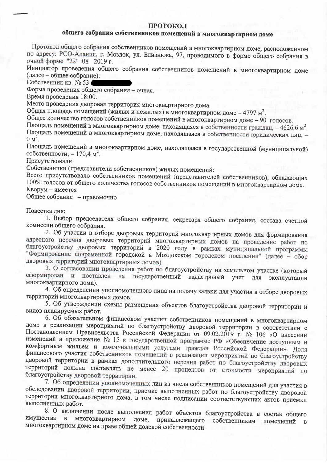#### ПРОТОКОЛ

### общего собрания собственников помещений в многоквартирном доме

Протокол общего собрания собственников помещений в многоквартирном доме, расположенном по адресу: РСО-Алания, г. Моздок, ул. Близнюка, 97, проводимого в форме общего собрания в очной форме "22" 08 2019 г.

Инициатор проведения общего собрания собственников помещений в многоквартирном доме (далее – общее собрание):

Собственник кв. № 53

Форма проведения общего собрания - очная.

Время проведения 18:00.

Место проведения дворовая территория многоквартирного дома.

Общая площадь помещений (жилых и нежилых) в многоквартирном доме - 4797 м<sup>2</sup>.

Общее количество голосов собственников помещений в многоквартирном доме - 90 голосов.

Площадь помещений в многоквартирном доме, находящаяся в собственности граждан, - 4626,6 м<sup>2</sup>. Площадь помещений в многоквартирном доме, находящаяся в собственности юридических лиц, - $0 \text{ m}^2$ .

Площадь помещений в многоквартирном доме, находящаяся в государственной (муниципальной) собственности, - 170,4 м<sup>2</sup>.

Присутствовали:

Собственники (представители собственников) жилых помещений:

Всего присутствовало собственников помещений (представителей собственников), обладающих 100% голосов от общего количества голосов собственников помещений в многоквартирном доме. Кворум - имеется

Общее собрание - правомочно

Повестка дня:

1. Выбор председателя общего собрания, секретаря общего собрания, состава счетной комиссии общего собрания.

2. Об участии в отборе дворовых территорий многоквартирных домов для формирования адресного перечня дворовых территорий многоквартирных домов на проведение работ по благоустройству дворовых территорий в 2020 году в рамках муниципальной программы "Формирование современной городской в Моздокском городском поселении" (далее - обор дворовых территорий многоквартирных домов).

3. О согласовании проведения работ по благоустройству на земельном участке (который сформирован и поставлен на государственный кадастровый учет для эксплуатации многоквартирного дома).

4. Об определении уполномоченного лица на подачу заявки для участия в отборе дворовых территорий многоквартирных домов.

5. Об утверждении схемы размещения объектов благоустройства дворовой территории и видов планируемых работ.

6. Об обязательном финансовом участии собственников помещений в многоквартирном доме в реализации мероприятий по благоустройству дворовой территории в соответствии с Постановлением Правительства Российской Федерации от 09.02.2019 г. № 106 «О внесении изменений в приложение № 15 к государственной программе РФ «Обеспечение доступным и комфортным жильем и коммунальными услугами граждан Российской Федерации». Доля финансового участия собственников помещений в реализации мероприятий по благоустройству дворовой территории в рамках дополнительного перечня работ по благоустройству дворовых территорий должна составлять не менее 20 процентов от стоимости мероприятий по благоустройству дворовой территории.

7. Об определении уполномоченных лиц из числа собственников помещений для участия в обследовании дворовой территории, приемке выполненных работ по благоустройству дворовой территории многоквартирного дома, в том числе подписании соответствующих актов приемки выполненных работ.

8. О включении после выполнения работ объектов благоустройства в состав общего многоквартирном доме, принадлежащего собственникам помещений имущества в  $\mathbf{B}$ многоквартирном доме на праве общей долевой собственности.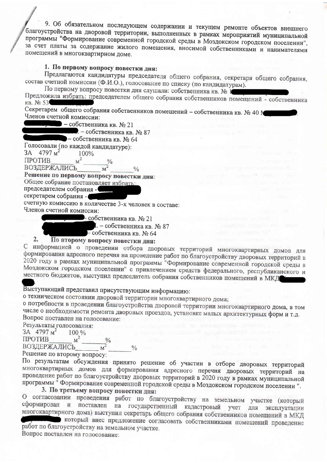9. Об обязательном последующем содержании и текущем ремонте объектов внешнего благоустройства на дворовой территории, выполненных в рамках мероприятий муниципальной программы "Формирование современной городской среды в Моздокском городском поселении", за счет платы за содержание жилого помещения, вносимой собственниками и нанимателями помещений в многоквартирном доме.

### 1. По первому вопросу повестки дня:

Предлагаются кандидатуры председателя общего собрания, секретаря общего собрания, состав счетной комиссии (Ф.И.О.), голосование по списку (по кандидатурам).

По первому вопросу повестки дня слушали: собственника кв. № 1

Предложила избрать: председателем общего собрания собственников помещений - собственника кв. № 53

Секретарем общего собрания собственников помещений - собственника кв. № 40 М Членов счетной комиссии:

 $-$  собственника кв.  $N_0$  21

. - собственника кв. № 87

- собственника кв. № 64

Голосовали (по каждой кандидатуре):  $3A$  $4797<sub>M</sub><sup>2</sup>$ 100%

ПРОТИВ  $M<sup>2</sup>$ 

ВОЗДЕРЖАЛИСЬ  $M^2$ 

Решение по первому вопросу повестки дня:

Общее собрание постановляет избрать:

председателем собрания -

секретарем собрания -

счетную комиссию в количестве 3-х человек в составе: Членов счетной комиссии:

- собственника кв. № 21

I. – собственника кв. № 87

- собственника кв. № 64

#### $\overline{2}$ . По второму вопросу повестки дня:

С информацией о проведении отбора дворовых территорий многоквартирных домов для формирования адресного перечня на проведение работ по благоустройству дворовых территорий в 2020 году в рамках муниципальной программы "Формирование современной городской среды в Моздокском городском поселении" с привлечением средств федерального, республиканского и местного бюджетов, выступил председатель собрания собственников помещений в МКД

### Выступающий представил присутствующим информацию:

о техническом состоянии дворовой территории многоквартирного дома;

 $\frac{0}{0}$ 

о потребности в проведении благоустройства дворовой территории многоквартирного дома, в том числе о необходимости ремонта дворовых проездов, установке малых архитектурных форм и т.д. Вопрос поставлен на голосование:

Результаты голосования:

 $3A$  4797  $M^2$ 100 %  $M^2$ ПРОТИВ  $\frac{0}{0}$  $\overline{M}^2$ **ВОЗДЕРЖАЛИСЬ** 

Решение по второму вопросу:

По результатам обсуждения принято решение об участии в отборе дворовых территорий многоквартирных домов для формирования адресного перечня дворовых территорий на проведение работ по благоустройству дворовых территорий в 2020 году в рамках муниципальной программы<sup>"</sup> Формирование современной городской среды в Моздокском городском поселении".

### 3. По третьему вопросу повестки дня:

О согласовании проведения работ по благоустройству на земельном участке (который сформирован и поставлен на государственный кадастровый учет для эксплуатации многоквартирного дома) выступил секретарь общего собрания собственников помещений в МКД

который внес предложение согласовать собственниками помещений проведение работ по благоустройству на земельном участке. Вопрос поставлен на голосование: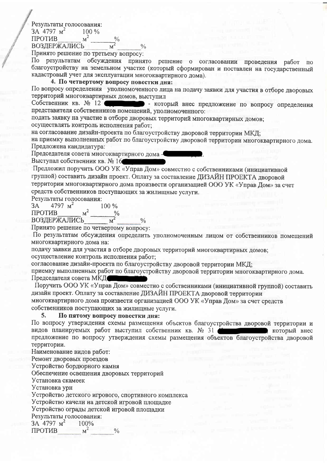Результаты голосования:

 $3A$  4797  $M^2$  $100\%$ 

 $M^2$ **ПРОТИВ ВОЗДЕРЖАЛИСЬ** 

Принято решение по третьему вопросу:

По результатам обсуждения принято решение о согласовании проведения работ  $\overline{a}$ благоустройству на земельном участке (который сформирован и поставлен на государственный кадастровый учет для эксплуатации многоквартирного дома).

#### 4. По четвертому вопросу повестки дня:

По вопросу определения уполномоченного лица на подачу заявки для участия в отборе дворовых территорий многоквартирных домов, выступил

Собственник кв. № 12 Силинге - который внес предложение по вопросу определения представителя собственников помещений, уполномоченного:

подать заявку на участие в отборе дворовых территорий многоквартирных домов; осуществлять контроль исполнения работ:

 $\frac{0}{0}$ 

на согласование дизайн-проекта по благоустройству дворовой территории МКД;

на приемку выполненных работ по благоустройству дворовой территории многоквартирного дома. Предложена кандидатура:

Председателя совета многоквартирного дома-

Выступал собственник кв. № 16

Предложил поручить ООО УК «Управ Дом» совместно с собственниками (инициативной группой) составить дизайн проект. Оплату за составление ДИЗАЙН ПРОЕКТА дворовой территории многоквартирного дома произвести организацией ООО УК «Управ Дом» за счет средств собственников поступающих за жилищные услуги.

Результаты голосования:

4797  $M^2$  $3A$ 100 %  $M^2$ **ПРОТИВ** ВОЗДЕРЖАЛИСЬ

Принято решение по четвертому вопросу:

По результатам обсуждения определить уполномоченным лицом от собственников помещений многоквартирного дома на:

подачу заявки для участия в отборе дворовых территорий многоквартирных домов; осуществление контроль исполнения работ;

согласование дизайн-проекта по благоустройству дворовой территории МКД;

приемку выполненных работ по благоустройству дворовой территории многоквартирного дома. Председателя совета МКД

Поручить ООО УК «Управ Дом» совместно с собственниками (инициативной группой) составить дизайн проект. Оплату за составление ДИЗАЙН ПРОЕКТА дворовой территории многоквартирного дома произвести организацией ООО УК «Управ Дом» за счет средств собственников поступающих за жилищные услуги.

#### 5. По пятому вопросу повестки дня:

По вопросу утверждения схемы размещения объектов благоустройства дворовой территории и видов планируемых работ выступил собственник кв. № 31 который внес предложение по вопросу утверждения схемы размещения объектов благоустройства дворовой территории.

Наименование видов работ:

Ремонт дворовых проездов

Устройство бордюрного камня

Обеспечение освещения дворовых территорий

Установка скамеек

Установка урн

Устройство детского игрового, спортивного комплекса

Устройство качели на детской игровой площадке

Устройство ограды детской игровой площадки

Результаты голосования:

3A 4797 M<sup>2</sup> 100%

 $M^2$  $\frac{0}{0}$ **ПРОТИВ**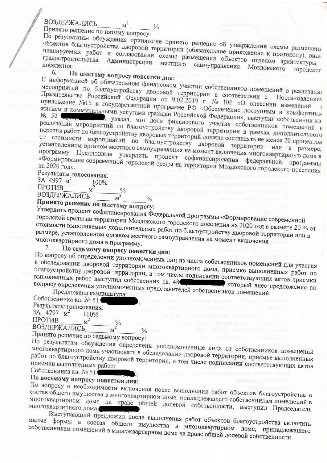### ВОЗДЕРЖАЛИСЬ

Принято решение по пятому вопросу:

По результатам обсуждения принято/не принято решение об утверждении схемы размещени объектов благоустройства дворовой территории (обязательное приложение к протоколу), видо планируемых работ и согласовании схемы размещения объектов отделом архитектуры градостроительства Администрации местного самоуправления Моздокского городског поселения. 6.

## По шестому вопросу повестки дня:

 $M<sup>2</sup>$ 

С информацией об обязательном финансовом участии собственников помещений в реализации мероприятий по благоустройству дворовой территории в соответствии с Постановлением Правительства Российской Федерации от 9.02.2019 г. № 106 «О внесении изменений приложение No15 к государственной программе РФ «Обеспечение доступным и комфортных жильем и коммунальными услугами граждан Российской Федерации», выступил собственник кв , указал, что доля финансового участия собственников помещений в реализации мероприятий по благоустройству дворовой территории в рамках дополнительного перечня работ по благоустройству дворовых территорий должна составлять не менее 20 процентов от стоимости мероприятий по благоустройству дворовой территории или в размере, установленном органом местного самоуправления на момент включения многоквартирного дома в программу Предложила утвердить процент софинансирования федеральной программы «Формирование современной городской среды на территории Моздокского городского поселения

#### Результаты голосования: 3A 4997 M<sup>2</sup>  $100%$

ПРОТИВ  $M^2$ 

**ВОЗДЕРЖАЛИСЬ**  $\overrightarrow{M}$ 

# Принято решение по шестому вопросу:

городской среды на территории Моздокского городского поселения на 2020 год в размере 20 % от стоимости выполняемых дополнительных работ по благоустройству дворовой территории или в размере, установленном органом местного самоуправления на момент включения многоквартирного дома в программу.

По седьмому вопросу повестки дня: 7.

По вопросу об определении уполномоченных лиц из числа собственников помещений для участия в обследовании дворовой территории многоквартирного дома, приемке выполненных работ по благоустройству дворовой территории, в том числе подписании соответствующих актов приемки выполненных работ выступил собственник кв. 48 при политики соторый внес предложение по вопросу определения уполномоченных представителей собственников помещений.

Предложена кандидатура: Собственника кв. № 51 Результаты голосования: 3A 4797  $M^2$  $100\%$ ПРОТИВ  $M^2$ **ВОЗДЕРЖАЛИСЬ**  $\frac{0}{6}$ 

Принято решение по седьмому вопросу:

По результатам обсуждения определены уполномоченные лица от собственников помещений многоквартирного дома участвовать в обследовании дворовой территории, приемке выполненных работ по благоустройству дворовой территории, в том числе подписании соответствующих актов

Собственника кв. № 51

# По восьмому вопросу повестки дня:

По вопросу о необходимости включения после выполнения работ объектов благоустройства в состав общего имущества в многоквартирном доме, принадлежащего собственникам помещений в многоквартирном доме на праве общей долевой собственности, выступил Председатель

Выступающий предложил после выполнения работ объектов благоустройства включить малые формы в состав общего имущества в многоквартирном доме, принадлежащего собственникам помещений в многоквартирном доме на праве общей долевой собственности